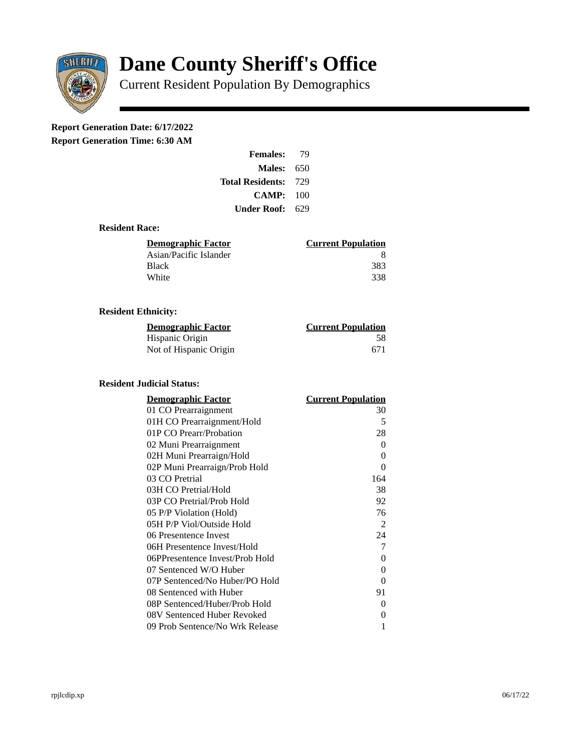

# **Dane County Sheriff's Office**

Current Resident Population By Demographics

# **Report Generation Date: 6/17/2022**

**Report Generation Time: 6:30 AM** 

| <b>Females:</b>         | 79   |
|-------------------------|------|
| Males:                  | 650  |
| <b>Total Residents:</b> | -729 |
| CAMP: 100               |      |
| Under Roof: -           | 629  |

### **Resident Race:**

| <u>Demographic Factor</u> | <b>Current Population</b> |
|---------------------------|---------------------------|
| Asian/Pacific Islander    | 8                         |
| Black                     | 383                       |
| White                     | -338                      |

### **Resident Ethnicity:**

| <u> Demographic Factor</u> | <b>Current Population</b> |
|----------------------------|---------------------------|
| Hispanic Origin            | 58                        |
| Not of Hispanic Origin     | 671                       |

#### **Resident Judicial Status:**

| <b>Demographic Factor</b>       | <u> Current Population</u> |
|---------------------------------|----------------------------|
| 01 CO Prearraignment            | 30                         |
| 01H CO Prearraignment/Hold      | 5                          |
| 01P CO Prearr/Probation         | 28                         |
| 02 Muni Prearraignment          | 0                          |
| 02H Muni Prearraign/Hold        | 0                          |
| 02P Muni Prearraign/Prob Hold   | 0                          |
| 03 CO Pretrial                  | 164                        |
| 03H CO Pretrial/Hold            | 38                         |
| 03P CO Pretrial/Prob Hold       | 92                         |
| 05 P/P Violation (Hold)         | 76                         |
| 05H P/P Viol/Outside Hold       | 2                          |
| 06 Presentence Invest           | 24                         |
| 06H Presentence Invest/Hold     | 7                          |
| 06PPresentence Invest/Prob Hold | 0                          |
| 07 Sentenced W/O Huber          | 0                          |
| 07P Sentenced/No Huber/PO Hold  | 0                          |
| 08 Sentenced with Huber         | 91                         |
| 08P Sentenced/Huber/Prob Hold   | 0                          |
| 08V Sentenced Huber Revoked     | 0                          |
| 09 Prob Sentence/No Wrk Release | 1                          |